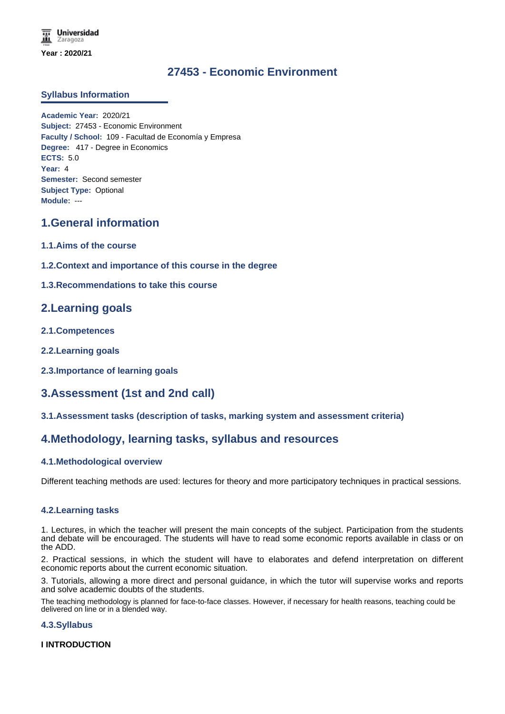**Universidad** Zaragoza **Year : 2020/21**

# **27453 - Economic Environment**

### **Syllabus Information**

**Academic Year:** 2020/21 **Subject:** 27453 - Economic Environment **Faculty / School:** 109 - Facultad de Economía y Empresa **Degree:** 417 - Degree in Economics **ECTS:** 5.0 **Year:** 4 **Semester:** Second semester **Subject Type:** Optional **Module:** ---

## **1.General information**

- **1.1.Aims of the course**
- **1.2.Context and importance of this course in the degree**
- **1.3.Recommendations to take this course**

## **2.Learning goals**

- **2.1.Competences**
- **2.2.Learning goals**
- **2.3.Importance of learning goals**

## **3.Assessment (1st and 2nd call)**

### **3.1.Assessment tasks (description of tasks, marking system and assessment criteria)**

## **4.Methodology, learning tasks, syllabus and resources**

### **4.1.Methodological overview**

Different teaching methods are used: lectures for theory and more participatory techniques in practical sessions.

#### **4.2.Learning tasks**

1. Lectures, in which the teacher will present the main concepts of the subject. Participation from the students and debate will be encouraged. The students will have to read some economic reports available in class or on the ADD.

2. Practical sessions, in which the student will have to elaborates and defend interpretation on different economic reports about the current economic situation.

3. Tutorials, allowing a more direct and personal guidance, in which the tutor will supervise works and reports and solve academic doubts of the students.

The teaching methodology is planned for face-to-face classes. However, if necessary for health reasons, teaching could be delivered on line or in a blended way.

#### **4.3.Syllabus**

#### **I INTRODUCTION**